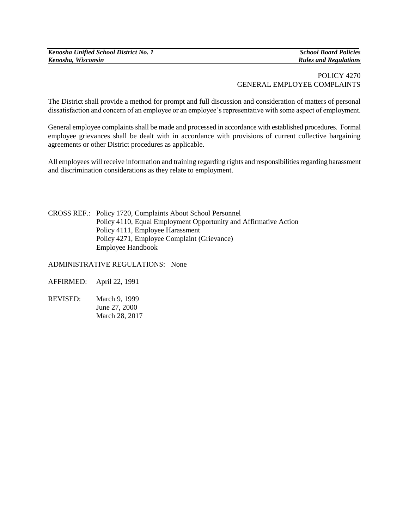*Kenosha Unified School District No. 1 School Board Policies Kenosha, Wisconsin Rules and Regulations*

## POLICY 4270 GENERAL EMPLOYEE COMPLAINTS

The District shall provide a method for prompt and full discussion and consideration of matters of personal dissatisfaction and concern of an employee or an employee's representative with some aspect of employment.

General employee complaints shall be made and processed in accordance with established procedures. Formal employee grievances shall be dealt with in accordance with provisions of current collective bargaining agreements or other District procedures as applicable.

All employees will receive information and training regarding rights and responsibilities regarding harassment and discrimination considerations as they relate to employment.

CROSS REF.: Policy 1720, Complaints About School Personnel Policy 4110, Equal Employment Opportunity and Affirmative Action Policy 4111, Employee Harassment Policy 4271, Employee Complaint (Grievance) Employee Handbook

ADMINISTRATIVE REGULATIONS:None

AFFIRMED: April 22, 1991

REVISED: March 9, 1999 June 27, 2000 March 28, 2017